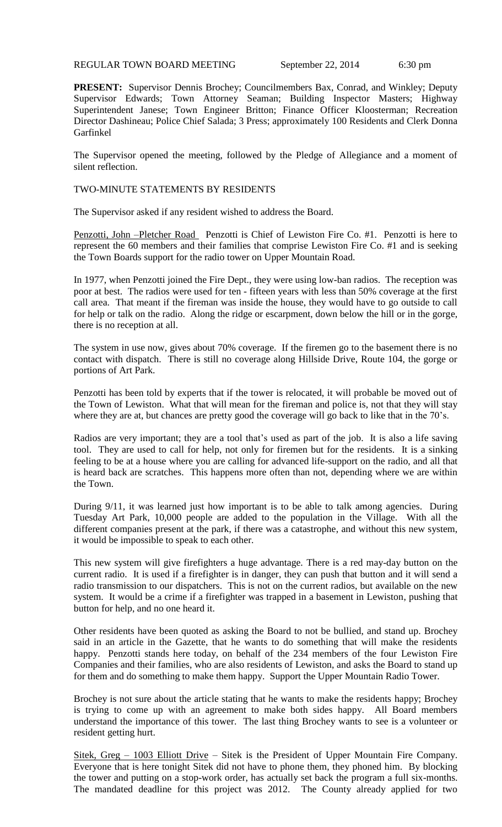REGULAR TOWN BOARD MEETING September 22, 2014 6:30 pm

**PRESENT:** Supervisor Dennis Brochey; Councilmembers Bax, Conrad, and Winkley; Deputy Supervisor Edwards; Town Attorney Seaman; Building Inspector Masters; Highway Superintendent Janese; Town Engineer Britton; Finance Officer Kloosterman; Recreation Director Dashineau; Police Chief Salada; 3 Press; approximately 100 Residents and Clerk Donna Garfinkel

The Supervisor opened the meeting, followed by the Pledge of Allegiance and a moment of silent reflection.

TWO-MINUTE STATEMENTS BY RESIDENTS

The Supervisor asked if any resident wished to address the Board.

Penzotti, John –Pletcher Road Penzotti is Chief of Lewiston Fire Co. #1. Penzotti is here to represent the 60 members and their families that comprise Lewiston Fire Co. #1 and is seeking the Town Boards support for the radio tower on Upper Mountain Road.

In 1977, when Penzotti joined the Fire Dept., they were using low-ban radios. The reception was poor at best. The radios were used for ten - fifteen years with less than 50% coverage at the first call area. That meant if the fireman was inside the house, they would have to go outside to call for help or talk on the radio. Along the ridge or escarpment, down below the hill or in the gorge, there is no reception at all.

The system in use now, gives about 70% coverage. If the firemen go to the basement there is no contact with dispatch. There is still no coverage along Hillside Drive, Route 104, the gorge or portions of Art Park.

Penzotti has been told by experts that if the tower is relocated, it will probable be moved out of the Town of Lewiston. What that will mean for the fireman and police is, not that they will stay where they are at, but chances are pretty good the coverage will go back to like that in the 70's.

Radios are very important; they are a tool that's used as part of the job. It is also a life saving tool. They are used to call for help, not only for firemen but for the residents. It is a sinking feeling to be at a house where you are calling for advanced life-support on the radio, and all that is heard back are scratches. This happens more often than not, depending where we are within the Town.

During 9/11, it was learned just how important is to be able to talk among agencies. During Tuesday Art Park, 10,000 people are added to the population in the Village. With all the different companies present at the park, if there was a catastrophe, and without this new system, it would be impossible to speak to each other.

This new system will give firefighters a huge advantage. There is a red may-day button on the current radio. It is used if a firefighter is in danger, they can push that button and it will send a radio transmission to our dispatchers. This is not on the current radios, but available on the new system. It would be a crime if a firefighter was trapped in a basement in Lewiston, pushing that button for help, and no one heard it.

Other residents have been quoted as asking the Board to not be bullied, and stand up. Brochey said in an article in the Gazette, that he wants to do something that will make the residents happy. Penzotti stands here today, on behalf of the 234 members of the four Lewiston Fire Companies and their families, who are also residents of Lewiston, and asks the Board to stand up for them and do something to make them happy. Support the Upper Mountain Radio Tower.

Brochey is not sure about the article stating that he wants to make the residents happy; Brochey is trying to come up with an agreement to make both sides happy. All Board members understand the importance of this tower. The last thing Brochey wants to see is a volunteer or resident getting hurt.

Sitek, Greg – 1003 Elliott Drive – Sitek is the President of Upper Mountain Fire Company. Everyone that is here tonight Sitek did not have to phone them, they phoned him. By blocking the tower and putting on a stop-work order, has actually set back the program a full six-months. The mandated deadline for this project was 2012. The County already applied for two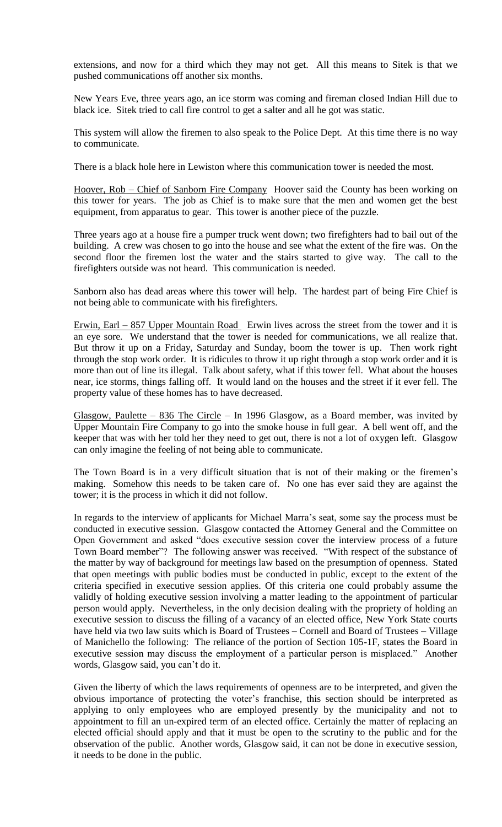extensions, and now for a third which they may not get. All this means to Sitek is that we pushed communications off another six months.

New Years Eve, three years ago, an ice storm was coming and fireman closed Indian Hill due to black ice. Sitek tried to call fire control to get a salter and all he got was static.

This system will allow the firemen to also speak to the Police Dept. At this time there is no way to communicate.

There is a black hole here in Lewiston where this communication tower is needed the most.

Hoover, Rob – Chief of Sanborn Fire Company Hoover said the County has been working on this tower for years. The job as Chief is to make sure that the men and women get the best equipment, from apparatus to gear. This tower is another piece of the puzzle.

Three years ago at a house fire a pumper truck went down; two firefighters had to bail out of the building. A crew was chosen to go into the house and see what the extent of the fire was. On the second floor the firemen lost the water and the stairs started to give way. The call to the firefighters outside was not heard. This communication is needed.

Sanborn also has dead areas where this tower will help. The hardest part of being Fire Chief is not being able to communicate with his firefighters.

Erwin, Earl – 857 Upper Mountain Road Erwin lives across the street from the tower and it is an eye sore. We understand that the tower is needed for communications, we all realize that. But throw it up on a Friday, Saturday and Sunday, boom the tower is up. Then work right through the stop work order. It is ridicules to throw it up right through a stop work order and it is more than out of line its illegal. Talk about safety, what if this tower fell. What about the houses near, ice storms, things falling off. It would land on the houses and the street if it ever fell. The property value of these homes has to have decreased.

Glasgow, Paulette – 836 The Circle – In 1996 Glasgow, as a Board member, was invited by Upper Mountain Fire Company to go into the smoke house in full gear. A bell went off, and the keeper that was with her told her they need to get out, there is not a lot of oxygen left. Glasgow can only imagine the feeling of not being able to communicate.

The Town Board is in a very difficult situation that is not of their making or the firemen's making. Somehow this needs to be taken care of. No one has ever said they are against the tower; it is the process in which it did not follow.

In regards to the interview of applicants for Michael Marra's seat, some say the process must be conducted in executive session. Glasgow contacted the Attorney General and the Committee on Open Government and asked "does executive session cover the interview process of a future Town Board member"? The following answer was received. "With respect of the substance of the matter by way of background for meetings law based on the presumption of openness. Stated that open meetings with public bodies must be conducted in public, except to the extent of the criteria specified in executive session applies. Of this criteria one could probably assume the validly of holding executive session involving a matter leading to the appointment of particular person would apply. Nevertheless, in the only decision dealing with the propriety of holding an executive session to discuss the filling of a vacancy of an elected office, New York State courts have held via two law suits which is Board of Trustees – Cornell and Board of Trustees – Village of Manichello the following: The reliance of the portion of Section 105-1F, states the Board in executive session may discuss the employment of a particular person is misplaced." Another words, Glasgow said, you can't do it.

Given the liberty of which the laws requirements of openness are to be interpreted, and given the obvious importance of protecting the voter's franchise, this section should be interpreted as applying to only employees who are employed presently by the municipality and not to appointment to fill an un-expired term of an elected office. Certainly the matter of replacing an elected official should apply and that it must be open to the scrutiny to the public and for the observation of the public. Another words, Glasgow said, it can not be done in executive session, it needs to be done in the public.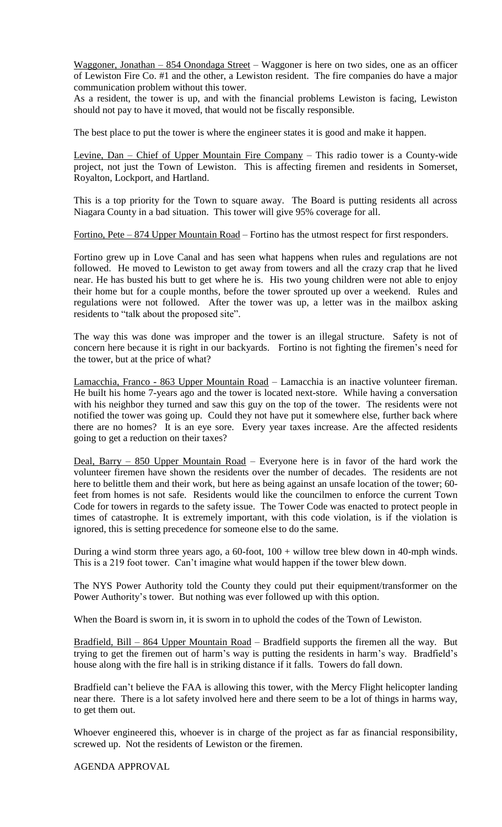Waggoner, Jonathan – 854 Onondaga Street – Waggoner is here on two sides, one as an officer of Lewiston Fire Co. #1 and the other, a Lewiston resident. The fire companies do have a major communication problem without this tower.

As a resident, the tower is up, and with the financial problems Lewiston is facing, Lewiston should not pay to have it moved, that would not be fiscally responsible.

The best place to put the tower is where the engineer states it is good and make it happen.

Levine, Dan – Chief of Upper Mountain Fire Company – This radio tower is a County-wide project, not just the Town of Lewiston. This is affecting firemen and residents in Somerset, Royalton, Lockport, and Hartland.

This is a top priority for the Town to square away. The Board is putting residents all across Niagara County in a bad situation. This tower will give 95% coverage for all.

Fortino, Pete – 874 Upper Mountain Road – Fortino has the utmost respect for first responders.

Fortino grew up in Love Canal and has seen what happens when rules and regulations are not followed. He moved to Lewiston to get away from towers and all the crazy crap that he lived near. He has busted his butt to get where he is. His two young children were not able to enjoy their home but for a couple months, before the tower sprouted up over a weekend. Rules and regulations were not followed. After the tower was up, a letter was in the mailbox asking residents to "talk about the proposed site".

The way this was done was improper and the tower is an illegal structure. Safety is not of concern here because it is right in our backyards. Fortino is not fighting the firemen's need for the tower, but at the price of what?

Lamacchia, Franco - 863 Upper Mountain Road – Lamacchia is an inactive volunteer fireman. He built his home 7-years ago and the tower is located next-store. While having a conversation with his neighbor they turned and saw this guy on the top of the tower. The residents were not notified the tower was going up. Could they not have put it somewhere else, further back where there are no homes? It is an eye sore. Every year taxes increase. Are the affected residents going to get a reduction on their taxes?

Deal, Barry – 850 Upper Mountain Road – Everyone here is in favor of the hard work the volunteer firemen have shown the residents over the number of decades. The residents are not here to belittle them and their work, but here as being against an unsafe location of the tower; 60 feet from homes is not safe. Residents would like the councilmen to enforce the current Town Code for towers in regards to the safety issue. The Tower Code was enacted to protect people in times of catastrophe. It is extremely important, with this code violation, is if the violation is ignored, this is setting precedence for someone else to do the same.

During a wind storm three years ago, a  $60$ -foot,  $100 +$  willow tree blew down in 40-mph winds. This is a 219 foot tower. Can't imagine what would happen if the tower blew down.

The NYS Power Authority told the County they could put their equipment/transformer on the Power Authority's tower. But nothing was ever followed up with this option.

When the Board is sworn in, it is sworn in to uphold the codes of the Town of Lewiston.

Bradfield, Bill – 864 Upper Mountain Road – Bradfield supports the firemen all the way. But trying to get the firemen out of harm's way is putting the residents in harm's way. Bradfield's house along with the fire hall is in striking distance if it falls. Towers do fall down.

Bradfield can't believe the FAA is allowing this tower, with the Mercy Flight helicopter landing near there. There is a lot safety involved here and there seem to be a lot of things in harms way, to get them out.

Whoever engineered this, whoever is in charge of the project as far as financial responsibility, screwed up. Not the residents of Lewiston or the firemen.

AGENDA APPROVAL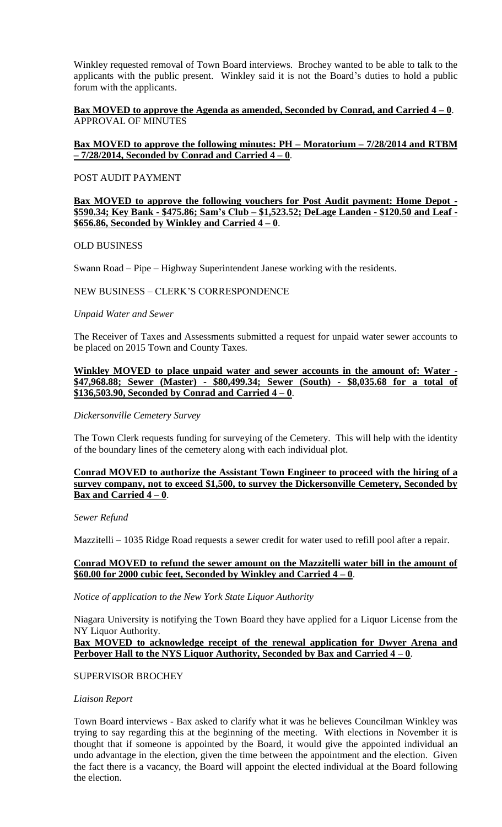Winkley requested removal of Town Board interviews. Brochey wanted to be able to talk to the applicants with the public present. Winkley said it is not the Board's duties to hold a public forum with the applicants.

### **Bax MOVED to approve the Agenda as amended, Seconded by Conrad, and Carried 4 – 0**. APPROVAL OF MINUTES

## **Bax MOVED to approve the following minutes: PH – Moratorium – 7/28/2014 and RTBM – 7/28/2014, Seconded by Conrad and Carried 4 – 0**.

#### POST AUDIT PAYMENT

#### **Bax MOVED to approve the following vouchers for Post Audit payment: Home Depot - \$590.34; Key Bank - \$475.86; Sam's Club – \$1,523.52; DeLage Landen - \$120.50 and Leaf - \$656.86, Seconded by Winkley and Carried**  $4 - 0$ **.**

### OLD BUSINESS

Swann Road – Pipe – Highway Superintendent Janese working with the residents.

## NEW BUSINESS – CLERK'S CORRESPONDENCE

### *Unpaid Water and Sewer*

The Receiver of Taxes and Assessments submitted a request for unpaid water sewer accounts to be placed on 2015 Town and County Taxes.

### **Winkley MOVED to place unpaid water and sewer accounts in the amount of: Water - \$47,968.88; Sewer (Master) - \$80,499.34; Sewer (South) - \$8,035.68 for a total of \$136,503.90, Seconded by Conrad and Carried 4 – 0**.

#### *Dickersonville Cemetery Survey*

The Town Clerk requests funding for surveying of the Cemetery. This will help with the identity of the boundary lines of the cemetery along with each individual plot.

### **Conrad MOVED to authorize the Assistant Town Engineer to proceed with the hiring of a survey company, not to exceed \$1,500, to survey the Dickersonville Cemetery, Seconded by Bax and Carried 4 – 0**.

#### *Sewer Refund*

Mazzitelli – 1035 Ridge Road requests a sewer credit for water used to refill pool after a repair.

## **Conrad MOVED to refund the sewer amount on the Mazzitelli water bill in the amount of \$60.00 for 2000 cubic feet, Seconded by Winkley and Carried 4 – 0**.

#### *Notice of application to the New York State Liquor Authority*

Niagara University is notifying the Town Board they have applied for a Liquor License from the NY Liquor Authority.

### **Bax MOVED to acknowledge receipt of the renewal application for Dwyer Arena and Perboyer Hall to the NYS Liquor Authority, Seconded by Bax and Carried 4 – 0**.

## SUPERVISOR BROCHEY

#### *Liaison Report*

Town Board interviews - Bax asked to clarify what it was he believes Councilman Winkley was trying to say regarding this at the beginning of the meeting. With elections in November it is thought that if someone is appointed by the Board, it would give the appointed individual an undo advantage in the election, given the time between the appointment and the election. Given the fact there is a vacancy, the Board will appoint the elected individual at the Board following the election.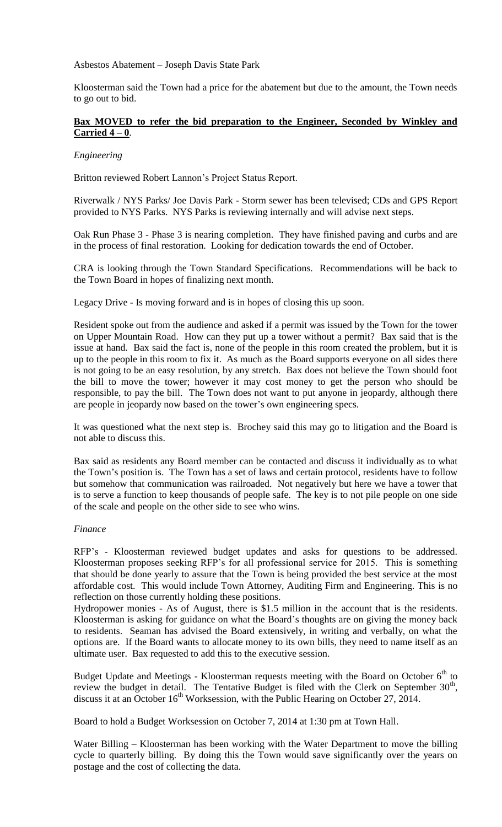Asbestos Abatement – Joseph Davis State Park

Kloosterman said the Town had a price for the abatement but due to the amount, the Town needs to go out to bid.

## **Bax MOVED to refer the bid preparation to the Engineer, Seconded by Winkley and Carried 4 – 0**.

### *Engineering*

Britton reviewed Robert Lannon's Project Status Report.

Riverwalk / NYS Parks/ Joe Davis Park - Storm sewer has been televised; CDs and GPS Report provided to NYS Parks. NYS Parks is reviewing internally and will advise next steps.

Oak Run Phase 3 - Phase 3 is nearing completion. They have finished paving and curbs and are in the process of final restoration. Looking for dedication towards the end of October.

CRA is looking through the Town Standard Specifications. Recommendations will be back to the Town Board in hopes of finalizing next month.

Legacy Drive - Is moving forward and is in hopes of closing this up soon.

Resident spoke out from the audience and asked if a permit was issued by the Town for the tower on Upper Mountain Road. How can they put up a tower without a permit? Bax said that is the issue at hand. Bax said the fact is, none of the people in this room created the problem, but it is up to the people in this room to fix it. As much as the Board supports everyone on all sides there is not going to be an easy resolution, by any stretch. Bax does not believe the Town should foot the bill to move the tower; however it may cost money to get the person who should be responsible, to pay the bill. The Town does not want to put anyone in jeopardy, although there are people in jeopardy now based on the tower's own engineering specs.

It was questioned what the next step is. Brochey said this may go to litigation and the Board is not able to discuss this.

Bax said as residents any Board member can be contacted and discuss it individually as to what the Town's position is. The Town has a set of laws and certain protocol, residents have to follow but somehow that communication was railroaded. Not negatively but here we have a tower that is to serve a function to keep thousands of people safe. The key is to not pile people on one side of the scale and people on the other side to see who wins.

#### *Finance*

RFP's - Kloosterman reviewed budget updates and asks for questions to be addressed. Kloosterman proposes seeking RFP's for all professional service for 2015. This is something that should be done yearly to assure that the Town is being provided the best service at the most affordable cost. This would include Town Attorney, Auditing Firm and Engineering. This is no reflection on those currently holding these positions.

Hydropower monies - As of August, there is \$1.5 million in the account that is the residents. Kloosterman is asking for guidance on what the Board's thoughts are on giving the money back to residents. Seaman has advised the Board extensively, in writing and verbally, on what the options are. If the Board wants to allocate money to its own bills, they need to name itself as an ultimate user. Bax requested to add this to the executive session.

Budget Update and Meetings - Kloosterman requests meeting with the Board on October 6<sup>th</sup> to review the budget in detail. The Tentative Budget is filed with the Clerk on September  $30<sup>th</sup>$ , discuss it at an October 16<sup>th</sup> Worksession, with the Public Hearing on October 27, 2014.

Board to hold a Budget Worksession on October 7, 2014 at 1:30 pm at Town Hall.

Water Billing – Kloosterman has been working with the Water Department to move the billing cycle to quarterly billing. By doing this the Town would save significantly over the years on postage and the cost of collecting the data.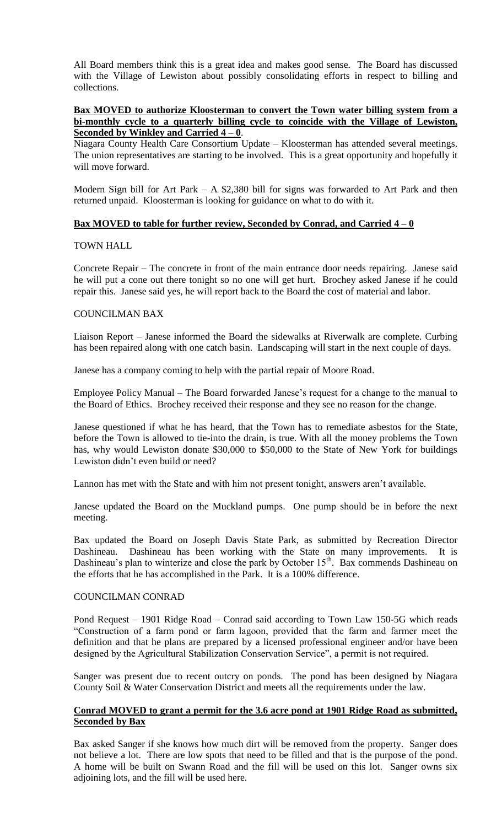All Board members think this is a great idea and makes good sense. The Board has discussed with the Village of Lewiston about possibly consolidating efforts in respect to billing and collections.

## **Bax MOVED to authorize Kloosterman to convert the Town water billing system from a bi-monthly cycle to a quarterly billing cycle to coincide with the Village of Lewiston, Seconded by Winkley and Carried 4 – 0**.

Niagara County Health Care Consortium Update – Kloosterman has attended several meetings. The union representatives are starting to be involved. This is a great opportunity and hopefully it will move forward.

Modern Sign bill for Art Park – A \$2,380 bill for signs was forwarded to Art Park and then returned unpaid. Kloosterman is looking for guidance on what to do with it.

### **Bax MOVED to table for further review, Seconded by Conrad, and Carried 4 – 0**

### TOWN HALL

Concrete Repair – The concrete in front of the main entrance door needs repairing. Janese said he will put a cone out there tonight so no one will get hurt. Brochey asked Janese if he could repair this. Janese said yes, he will report back to the Board the cost of material and labor.

### COUNCILMAN BAX

Liaison Report – Janese informed the Board the sidewalks at Riverwalk are complete. Curbing has been repaired along with one catch basin. Landscaping will start in the next couple of days.

Janese has a company coming to help with the partial repair of Moore Road.

Employee Policy Manual – The Board forwarded Janese's request for a change to the manual to the Board of Ethics. Brochey received their response and they see no reason for the change.

Janese questioned if what he has heard, that the Town has to remediate asbestos for the State, before the Town is allowed to tie-into the drain, is true. With all the money problems the Town has, why would Lewiston donate \$30,000 to \$50,000 to the State of New York for buildings Lewiston didn't even build or need?

Lannon has met with the State and with him not present tonight, answers aren't available.

Janese updated the Board on the Muckland pumps. One pump should be in before the next meeting.

Bax updated the Board on Joseph Davis State Park, as submitted by Recreation Director Dashineau. Dashineau has been working with the State on many improvements. It is Dashineau's plan to winterize and close the park by October  $15<sup>th</sup>$ . Bax commends Dashineau on the efforts that he has accomplished in the Park. It is a 100% difference.

#### COUNCILMAN CONRAD

Pond Request – 1901 Ridge Road – Conrad said according to Town Law 150-5G which reads "Construction of a farm pond or farm lagoon, provided that the farm and farmer meet the definition and that he plans are prepared by a licensed professional engineer and/or have been designed by the Agricultural Stabilization Conservation Service", a permit is not required.

Sanger was present due to recent outcry on ponds. The pond has been designed by Niagara County Soil & Water Conservation District and meets all the requirements under the law.

## **Conrad MOVED to grant a permit for the 3.6 acre pond at 1901 Ridge Road as submitted, Seconded by Bax**

Bax asked Sanger if she knows how much dirt will be removed from the property. Sanger does not believe a lot. There are low spots that need to be filled and that is the purpose of the pond. A home will be built on Swann Road and the fill will be used on this lot. Sanger owns six adjoining lots, and the fill will be used here.